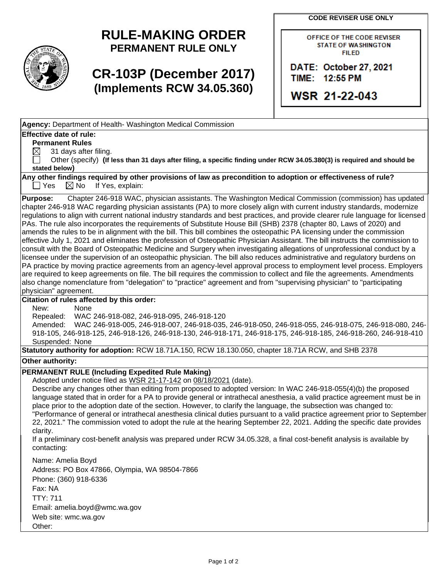**CODE REVISER USE ONLY**



## **RULE-MAKING ORDER PERMANENT RULE ONLY**

# **CR-103P (December 2017) (Implements RCW 34.05.360)**

OFFICE OF THE CODE REVISER **STATE OF WASHINGTON FILED** 

DATE: October 27, 2021 TIME: 12:55 PM

**WSR 21-22-043** 

**Agency:** Department of Health- Washington Medical Commission

## **Effective date of rule:**

**Permanent Rules**

 $\boxtimes$  31 days after filing.

 Other (specify) **(If less than 31 days after filing, a specific finding under RCW 34.05.380(3) is required and should be stated below)**

**Any other findings required by other provisions of law as precondition to adoption or effectiveness of rule?**  $\Box$  Yes  $\Box$  No If Yes, explain:

**Purpose:** Chapter 246-918 WAC, physician assistants. The Washington Medical Commission (commission) has updated chapter 246-918 WAC regarding physician assistants (PA) to more closely align with current industry standards, modernize regulations to align with current national industry standards and best practices, and provide clearer rule language for licensed PAs. The rule also incorporates the requirements of Substitute House Bill (SHB) 2378 (chapter 80, Laws of 2020) and amends the rules to be in alignment with the bill. This bill combines the osteopathic PA licensing under the commission effective July 1, 2021 and eliminates the profession of Osteopathic Physician Assistant. The bill instructs the commission to consult with the Board of Osteopathic Medicine and Surgery when investigating allegations of unprofessional conduct by a licensee under the supervision of an osteopathic physician. The bill also reduces administrative and regulatory burdens on PA practice by moving practice agreements from an agency-level approval process to employment level process. Employers are required to keep agreements on file. The bill requires the commission to collect and file the agreements. Amendments also change nomenclature from "delegation" to "practice" agreement and from "supervising physician" to "participating physician" agreement.

## **Citation of rules affected by this order:**

New: None

Repealed: WAC 246-918-082, 246-918-095, 246-918-120

Amended: WAC 246-918-005, 246-918-007, 246-918-035, 246-918-050, 246-918-055, 246-918-075, 246-918-080, 246- 918-105, 246-918-125, 246-918-126, 246-918-130, 246-918-171, 246-918-175, 246-918-185, 246-918-260, 246-918-410 Suspended: None

**Statutory authority for adoption:** RCW 18.71A.150, RCW 18.130.050, chapter 18.71A RCW, and SHB 2378

**Other authority:** 

## **PERMANENT RULE (Including Expedited Rule Making)**

Adopted under notice filed as WSR 21-17-142 on 08/18/2021 (date).

Describe any changes other than editing from proposed to adopted version: In WAC 246-918-055(4)(b) the proposed language stated that in order for a PA to provide general or intrathecal anesthesia, a valid practice agreement must be in place prior to the adoption date of the section. However, to clarify the language, the subsection was changed to: "Performance of general or intrathecal anesthesia clinical duties pursuant to a valid practice agreement prior to September 22, 2021." The commission voted to adopt the rule at the hearing September 22, 2021. Adding the specific date provides clarity.

If a preliminary cost-benefit analysis was prepared under RCW 34.05.328, a final cost-benefit analysis is available by contacting:

Name: Amelia Boyd Address: PO Box 47866, Olympia, WA 98504-7866 Phone: (360) 918-6336 Fax: NA TTY: 711 Email: amelia.boyd@wmc.wa.gov Web site: wmc.wa.gov Other: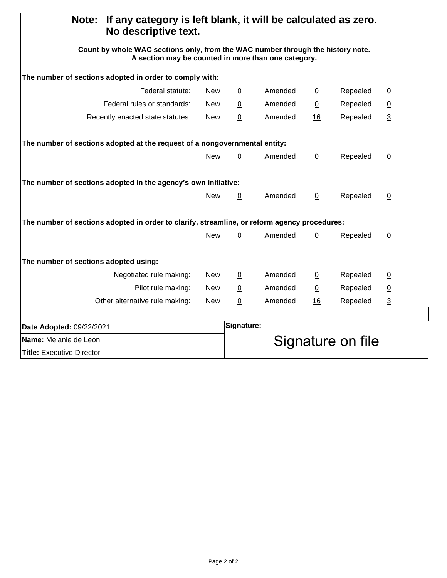| If any category is left blank, it will be calculated as zero.<br>Note:<br>No descriptive text.                                         |            |                 |                   |                |          |                |  |
|----------------------------------------------------------------------------------------------------------------------------------------|------------|-----------------|-------------------|----------------|----------|----------------|--|
| Count by whole WAC sections only, from the WAC number through the history note.<br>A section may be counted in more than one category. |            |                 |                   |                |          |                |  |
| The number of sections adopted in order to comply with:                                                                                |            |                 |                   |                |          |                |  |
| Federal statute:                                                                                                                       | <b>New</b> | $\overline{0}$  | Amended           | $\overline{0}$ | Repealed | $\overline{0}$ |  |
| Federal rules or standards:                                                                                                            | <b>New</b> | $\underline{0}$ | Amended           | $\overline{0}$ | Repealed | $\overline{0}$ |  |
| Recently enacted state statutes:                                                                                                       | <b>New</b> | 0               | Amended           | 16             | Repealed | $\overline{3}$ |  |
| The number of sections adopted at the request of a nongovernmental entity:                                                             |            |                 |                   |                |          |                |  |
|                                                                                                                                        | <b>New</b> | $\underline{0}$ | Amended           | $\overline{0}$ | Repealed | $\overline{0}$ |  |
| The number of sections adopted in the agency's own initiative:                                                                         |            |                 |                   |                |          |                |  |
|                                                                                                                                        | <b>New</b> | $\overline{0}$  | Amended           | $\overline{0}$ | Repealed | $\overline{0}$ |  |
| The number of sections adopted in order to clarify, streamline, or reform agency procedures:                                           |            |                 |                   |                |          |                |  |
|                                                                                                                                        | <b>New</b> | 0               | Amended           | 0              | Repealed | $\overline{0}$ |  |
| The number of sections adopted using:                                                                                                  |            |                 |                   |                |          |                |  |
| Negotiated rule making:                                                                                                                | New        | 0               | Amended           | $\overline{0}$ | Repealed | $\overline{0}$ |  |
| Pilot rule making:                                                                                                                     | <b>New</b> | $\overline{0}$  | Amended           | $\overline{0}$ | Repealed | $\overline{0}$ |  |
| Other alternative rule making:                                                                                                         | <b>New</b> | 0               | Amended           | 16             | Repealed | $\overline{3}$ |  |
| Date Adopted: 09/22/2021                                                                                                               |            | Signature:      |                   |                |          |                |  |
| <b>Name:</b> Melanie de Leon                                                                                                           |            |                 | Signature on file |                |          |                |  |
| <b>Title: Executive Director</b>                                                                                                       |            |                 |                   |                |          |                |  |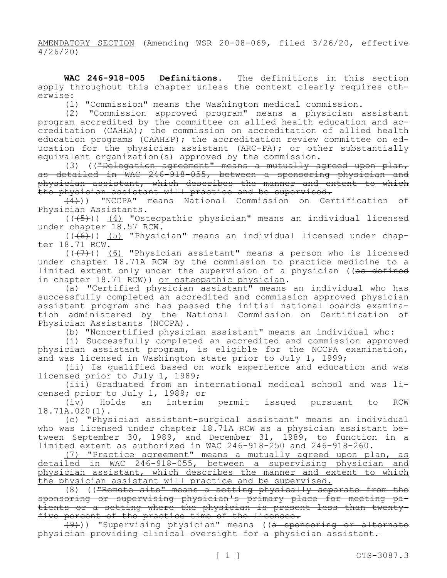AMENDATORY SECTION (Amending WSR 20-08-069, filed 3/26/20, effective 4/26/20)

**WAC 246-918-005 Definitions.** The definitions in this section apply throughout this chapter unless the context clearly requires otherwise:

(1) "Commission" means the Washington medical commission.

(2) "Commission approved program" means a physician assistant program accredited by the committee on allied health education and accreditation (CAHEA); the commission on accreditation of allied health education programs (CAAHEP); the accreditation review committee on education for the physician assistant (ARC-PA); or other substantially equivalent organization(s) approved by the commission.

diche organizacion (3) a<sub>rr</sub>essessed a mutually agreed upon plan, as detailed in WAC 246-918-055, between a sponsoring physician and physician assistant, which describes the manner and extent to which the physician assistant will practice and be supervised.

 $\overline{+4}$ )) "NCCPA" means National Commission on Certification of Physician Assistants.

 $((+5))$  (4) "Osteopathic physician" means an individual licensed under chapter 18.57 RCW.

 $((+6))$  (5) "Physician" means an individual licensed under chapter 18.71 RCW.

 $((+7))$  (6) "Physician assistant" means a person who is licensed under chapter 18.71A RCW by the commission to practice medicine to a limited extent only under the supervision of a physician ((as defined in chapter 18.71 RCW)) or osteopathic physician.

(a) "Certified physician assistant" means an individual who has successfully completed an accredited and commission approved physician assistant program and has passed the initial national boards examination administered by the National Commission on Certification of Physician Assistants (NCCPA).

(b) "Noncertified physician assistant" means an individual who:

(i) Successfully completed an accredited and commission approved physician assistant program, is eligible for the NCCPA examination, and was licensed in Washington state prior to July 1, 1999;

(ii) Is qualified based on work experience and education and was licensed prior to July 1, 1989;

(iii) Graduated from an international medical school and was licensed prior to July 1, 1989; or

(iv) Holds an interim permit issued pursuant to RCW 18.71A.020(1).

(c) "Physician assistant-surgical assistant" means an individual who was licensed under chapter 18.71A RCW as a physician assistant between September 30, 1989, and December 31, 1989, to function in a limited extent as authorized in WAC 246-918-250 and 246-918-260.

(7) "Practice agreement" means a mutually agreed upon plan, as detailed in WAC 246-918-055, between a supervising physician and physician assistant, which describes the manner and extent to which the physician assistant will practice and be supervised.

 $(8)$  (("Remote site" means a setting physically separate from the sponsoring or supervising physician's primary place for meeting patients or a setting where the physician is present less than twentyfive percent of the practice time of the licensee.

(9))) "Supervising physician" means ((a sponsoring or alternate physician providing clinical oversight for a physician assistant.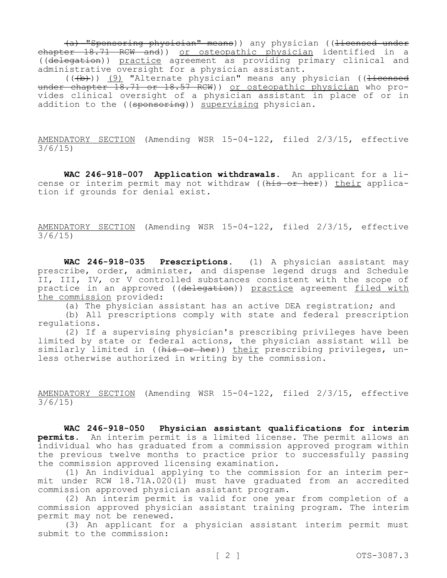(a) "Sponsoring physician" means)) any physician ((licensed under chapter 18.71 RCW and)) or osteopathic physician identified in a ((delegation)) practice agreement as providing primary clinical and administrative oversight for a physician assistant.

 $((+b))$  (9) "Alternate physician" means any physician (( $\frac{1}{1}$ under chapter 18.71 or 18.57 RCW)) or osteopathic physician who provides clinical oversight of a physician assistant in place of or in addition to the ((sponsoring)) supervising physician.

AMENDATORY SECTION (Amending WSR 15-04-122, filed 2/3/15, effective 3/6/15)

**WAC 246-918-007 Application withdrawals.** An applicant for a license or interim permit may not withdraw ((his or her)) their application if grounds for denial exist.

AMENDATORY SECTION (Amending WSR 15-04-122, filed 2/3/15, effective 3/6/15)

**WAC 246-918-035 Prescriptions.** (1) A physician assistant may prescribe, order, administer, and dispense legend drugs and Schedule II, III, IV, or V controlled substances consistent with the scope of practice in an approved ((delegation)) practice agreement filed with the commission provided:

(a) The physician assistant has an active DEA registration; and

(b) All prescriptions comply with state and federal prescription regulations.

(2) If a supervising physician's prescribing privileges have been limited by state or federal actions, the physician assistant will be similarly limited in ((his or her)) their prescribing privileges, unless otherwise authorized in writing by the commission.

AMENDATORY SECTION (Amending WSR 15-04-122, filed 2/3/15, effective 3/6/15)

**WAC 246-918-050 Physician assistant qualifications for interim permits.** An interim permit is a limited license. The permit allows an individual who has graduated from a commission approved program within the previous twelve months to practice prior to successfully passing the commission approved licensing examination.

(1) An individual applying to the commission for an interim permit under RCW 18.71A.020(1) must have graduated from an accredited commission approved physician assistant program.

(2) An interim permit is valid for one year from completion of a commission approved physician assistant training program. The interim permit may not be renewed.

(3) An applicant for a physician assistant interim permit must submit to the commission: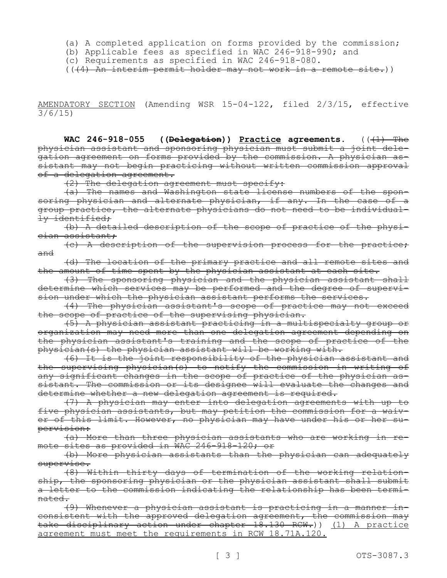(a) A completed application on forms provided by the commission;

(b) Applicable fees as specified in WAC 246-918-990; and

(c) Requirements as specified in WAC 246-918-080.

(((4) An interim permit holder may not work in a remote site.))

AMENDATORY SECTION (Amending WSR 15-04-122, filed 2/3/15, effective 3/6/15)

**WAC 246-918-055 ((<del>Delegation</del>)) Practice agreements.** (( $\overline{(1)}$  The physician assistant and sponsoring physician must submit a joint delegation agreement on forms provided by the commission. A physician assistant may not begin practicing without written commission approval of a delegation agreement.

 $(2)$  The delegation agreement must specify:

(a) The names and Washington state license numbers of the sponsoring physician and alternate physician, if any. In the case of a group practice, the alternate physicians do not need to be individually identified;

(b) A detailed description of the scope of practice of the physician assistant;

(c) A description of the supervision process for the practice; and

(d) The location of the primary practice and all remote sites and the amount of time spent by the physician assistant at each site.

(3) The sponsoring physician and the physician assistant shall determine which services may be performed and the degree of supervision under which the physician assistant performs the services.

(4) The physician assistant's scope of practice may not exceed the scope of practice of the supervising physician.

(5) A physician assistant practicing in a multispecialty group or organization may need more than one delegation agreement depending on the physician assistant's training and the scope of practice of the physician(s) the physician assistant will be working with.

(6) It is the joint responsibility of the physician assistant and the supervising physician(s) to notify the commission in writing of any significant changes in the scope of practice of the physician assistant. The commission or its designee will evaluate the changes and determine whether a new delegation agreement is required.

(7) A physician may enter into delegation agreements with up to five physician assistants, but may petition the commission for a waiver of this limit. However, no physician may have under his or her supervision:

(a) More than three physician assistants who are working in remote sites as provided in WAC 246-918-120; or

(b) More physician assistants than the physician can adequately supervise.

(8) Within thirty days of termination of the working relationship, the sponsoring physician or the physician assistant shall submit a letter to the commission indicating the relationship has been terminated.

(9) Whenever a physician assistant is practicing in a manner inconsistent with the approved delegation agreement, the commission may take disciplinary action under chapter 18.130 RCW.)) (1) A practice agreement must meet the requirements in RCW 18.71A.120.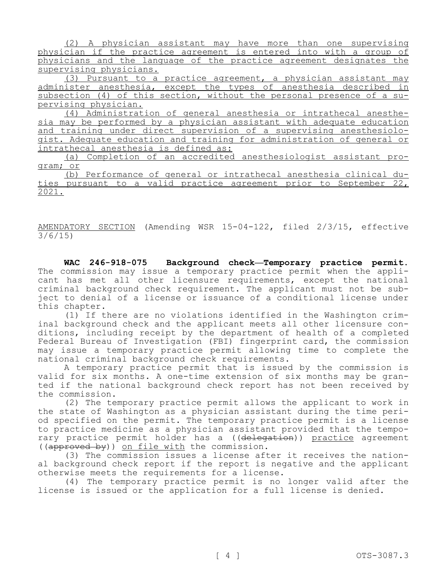(2) A physician assistant may have more than one supervising physician if the practice agreement is entered into with a group of physicians and the language of the practice agreement designates the supervising physicians.

(3) Pursuant to a practice agreement, a physician assistant may administer anesthesia, except the types of anesthesia described in subsection (4) of this section, without the personal presence of a supervising physician.

(4) Administration of general anesthesia or intrathecal anesthesia may be performed by a physician assistant with adequate education and training under direct supervision of a supervising anesthesiologist. Adequate education and training for administration of general or intrathecal anesthesia is defined as:

(a) Completion of an accredited anesthesiologist assistant program; or

(b) Performance of general or intrathecal anesthesia clinical duties pursuant to a valid practice agreement prior to September 22, 2021.

AMENDATORY SECTION (Amending WSR 15-04-122, filed 2/3/15, effective 3/6/15)

**WAC 246-918-075 Background check—Temporary practice permit.**  The commission may issue a temporary practice permit when the applicant has met all other licensure requirements, except the national criminal background check requirement. The applicant must not be subject to denial of a license or issuance of a conditional license under this chapter.

(1) If there are no violations identified in the Washington criminal background check and the applicant meets all other licensure conditions, including receipt by the department of health of a completed Federal Bureau of Investigation (FBI) fingerprint card, the commission may issue a temporary practice permit allowing time to complete the national criminal background check requirements.

A temporary practice permit that is issued by the commission is valid for six months. A one-time extension of six months may be granted if the national background check report has not been received by the commission.

(2) The temporary practice permit allows the applicant to work in the state of Washington as a physician assistant during the time period specified on the permit. The temporary practice permit is a license to practice medicine as a physician assistant provided that the temporary practice permit holder has a ((delegation)) practice agreement ((approved by)) on file with the commission.

(3) The commission issues a license after it receives the national background check report if the report is negative and the applicant otherwise meets the requirements for a license.

(4) The temporary practice permit is no longer valid after the license is issued or the application for a full license is denied.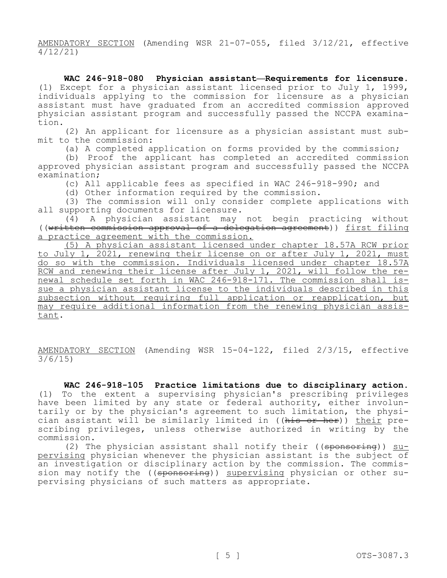AMENDATORY SECTION (Amending WSR 21-07-055, filed 3/12/21, effective 4/12/21)

**WAC 246-918-080 Physician assistant—Requirements for licensure.**  (1) Except for a physician assistant licensed prior to July 1, 1999, individuals applying to the commission for licensure as a physician assistant must have graduated from an accredited commission approved physician assistant program and successfully passed the NCCPA examination.

(2) An applicant for licensure as a physician assistant must submit to the commission:

(a) A completed application on forms provided by the commission;

(b) Proof the applicant has completed an accredited commission approved physician assistant program and successfully passed the NCCPA examination;

(c) All applicable fees as specified in WAC 246-918-990; and

(d) Other information required by the commission.

(3) The commission will only consider complete applications with all supporting documents for licensure.

(4) A physician assistant may not begin practicing without ((written commission approval of a delegation agreement)) first filing a practice agreement with the commission.

(5) A physician assistant licensed under chapter 18.57A RCW prior to July 1, 2021, renewing their license on or after July 1, 2021, must do so with the commission. Individuals licensed under chapter 18.57A RCW and renewing their license after July 1, 2021, will follow the renewal schedule set forth in WAC 246-918-171. The commission shall issue a physician assistant license to the individuals described in this subsection without requiring full application or reapplication, but may require additional information from the renewing physician assistant.

AMENDATORY SECTION (Amending WSR 15-04-122, filed 2/3/15, effective 3/6/15)

**WAC 246-918-105 Practice limitations due to disciplinary action.**  (1) To the extent a supervising physician's prescribing privileges have been limited by any state or federal authority, either involuntarily or by the physician's agreement to such limitation, the physician assistant will be similarly limited in ((his or her)) their prescribing privileges, unless otherwise authorized in writing by the commission.

(2) The physician assistant shall notify their (( $\epsilon$ ponsoring)) supervising physician whenever the physician assistant is the subject of an investigation or disciplinary action by the commission. The commission may notify the ((sponsoring)) supervising physician or other supervising physicians of such matters as appropriate.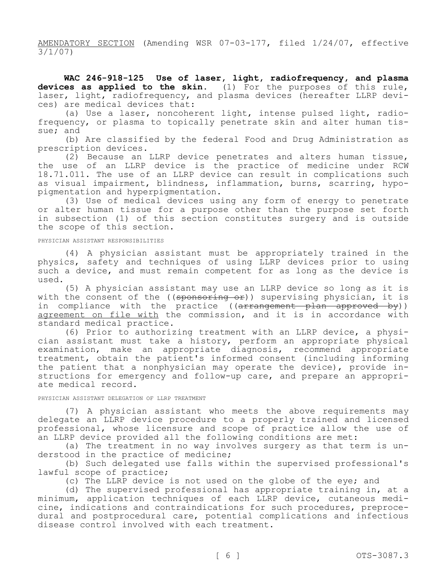AMENDATORY SECTION (Amending WSR 07-03-177, filed 1/24/07, effective 3/1/07)

**WAC 246-918-125 Use of laser, light, radiofrequency, and plasma devices as applied to the skin.** (1) For the purposes of this rule, laser, light, radiofrequency, and plasma devices (hereafter LLRP devices) are medical devices that:

(a) Use a laser, noncoherent light, intense pulsed light, radiofrequency, or plasma to topically penetrate skin and alter human tissue; and

(b) Are classified by the federal Food and Drug Administration as prescription devices.

(2) Because an LLRP device penetrates and alters human tissue, the use of an LLRP device is the practice of medicine under RCW 18.71.011. The use of an LLRP device can result in complications such as visual impairment, blindness, inflammation, burns, scarring, hypopigmentation and hyperpigmentation.

(3) Use of medical devices using any form of energy to penetrate or alter human tissue for a purpose other than the purpose set forth in subsection (1) of this section constitutes surgery and is outside the scope of this section.

### PHYSICIAN ASSISTANT RESPONSIBILITIES

(4) A physician assistant must be appropriately trained in the physics, safety and techniques of using LLRP devices prior to using such a device, and must remain competent for as long as the device is used.

(5) A physician assistant may use an LLRP device so long as it is with the consent of the ((sponsoring or)) supervising physician, it is in compliance with the practice ((arrangement plan approved by)) agreement on file with the commission, and it is in accordance with standard medical practice.

(6) Prior to authorizing treatment with an LLRP device, a physician assistant must take a history, perform an appropriate physical examination, make an appropriate diagnosis, recommend appropriate treatment, obtain the patient's informed consent (including informing the patient that a nonphysician may operate the device), provide instructions for emergency and follow-up care, and prepare an appropriate medical record.

### PHYSICIAN ASSISTANT DELEGATION OF LLRP TREATMENT

(7) A physician assistant who meets the above requirements may delegate an LLRP device procedure to a properly trained and licensed professional, whose licensure and scope of practice allow the use of an LLRP device provided all the following conditions are met:

(a) The treatment in no way involves surgery as that term is understood in the practice of medicine;

(b) Such delegated use falls within the supervised professional's lawful scope of practice;

(c) The LLRP device is not used on the globe of the eye; and

(d) The supervised professional has appropriate training in, at a minimum, application techniques of each LLRP device, cutaneous medicine, indications and contraindications for such procedures, preprocedural and postprocedural care, potential complications and infectious disease control involved with each treatment.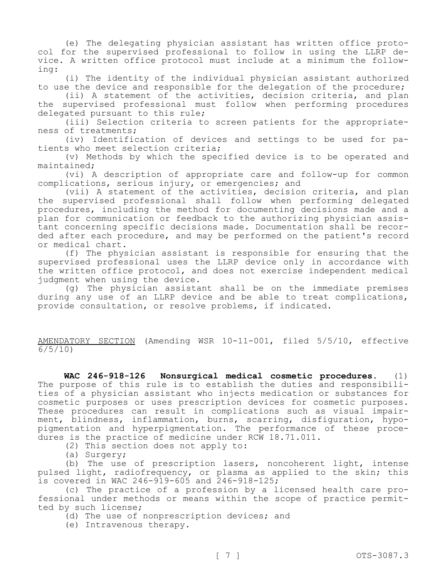(e) The delegating physician assistant has written office protocol for the supervised professional to follow in using the LLRP device. A written office protocol must include at a minimum the following:

(i) The identity of the individual physician assistant authorized to use the device and responsible for the delegation of the procedure;

(ii) A statement of the activities, decision criteria, and plan the supervised professional must follow when performing procedures delegated pursuant to this rule;

(iii) Selection criteria to screen patients for the appropriateness of treatments;

(iv) Identification of devices and settings to be used for patients who meet selection criteria;

(v) Methods by which the specified device is to be operated and maintained;

(vi) A description of appropriate care and follow-up for common complications, serious injury, or emergencies; and

(vii) A statement of the activities, decision criteria, and plan the supervised professional shall follow when performing delegated procedures, including the method for documenting decisions made and a plan for communication or feedback to the authorizing physician assistant concerning specific decisions made. Documentation shall be recorded after each procedure, and may be performed on the patient's record or medical chart.

(f) The physician assistant is responsible for ensuring that the supervised professional uses the LLRP device only in accordance with the written office protocol, and does not exercise independent medical judgment when using the device.

(g) The physician assistant shall be on the immediate premises during any use of an LLRP device and be able to treat complications, provide consultation, or resolve problems, if indicated.

AMENDATORY SECTION (Amending WSR 10-11-001, filed 5/5/10, effective 6/5/10)

**WAC 246-918-126 Nonsurgical medical cosmetic procedures.** (1) The purpose of this rule is to establish the duties and responsibilities of a physician assistant who injects medication or substances for cosmetic purposes or uses prescription devices for cosmetic purposes. These procedures can result in complications such as visual impairment, blindness, inflammation, burns, scarring, disfiguration, hypopigmentation and hyperpigmentation. The performance of these procedures is the practice of medicine under RCW 18.71.011.

(2) This section does not apply to:

(a) Surgery;

(b) The use of prescription lasers, noncoherent light, intense pulsed light, radiofrequency, or plasma as applied to the skin; this is covered in WAC 246-919-605 and 246-918-125;

(c) The practice of a profession by a licensed health care professional under methods or means within the scope of practice permitted by such license;

(d) The use of nonprescription devices; and

(e) Intravenous therapy.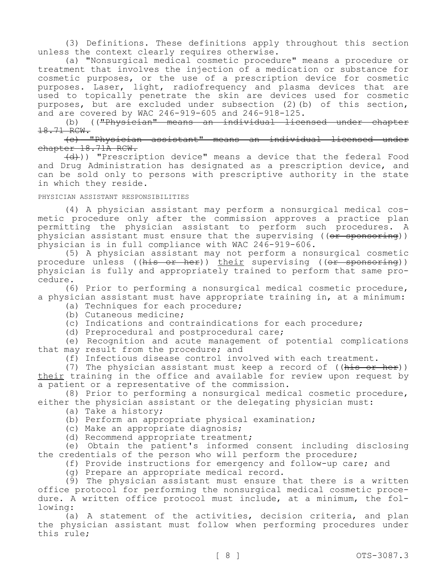(3) Definitions. These definitions apply throughout this section unless the context clearly requires otherwise.

(a) "Nonsurgical medical cosmetic procedure" means a procedure or treatment that involves the injection of a medication or substance for cosmetic purposes, or the use of a prescription device for cosmetic purposes. Laser, light, radiofrequency and plasma devices that are used to topically penetrate the skin are devices used for cosmetic purposes, but are excluded under subsection (2)(b) of this section, and are covered by WAC 246-919-605 and 246-918-125.

(b) (("Physician" means an individual licensed under chapter 18.71 RCW.

(c) "Physician assistant" means an individual licensed under chapter 18.71A RCW.

(d))) "Prescription device" means a device that the federal Food and Drug Administration has designated as a prescription device, and can be sold only to persons with prescriptive authority in the state in which they reside.

#### PHYSICIAN ASSISTANT RESPONSIBILITIES

(4) A physician assistant may perform a nonsurgical medical cosmetic procedure only after the commission approves a practice plan permitting the physician assistant to perform such procedures. A physician assistant must ensure that the supervising ((<del>or sponsoring</del>)) physician is in full compliance with WAC 246-919-606.

(5) A physician assistant may not perform a nonsurgical cosmetic procedure unless ((his or her)) their supervising ((or sponsoring)) physician is fully and appropriately trained to perform that same procedure.

(6) Prior to performing a nonsurgical medical cosmetic procedure, a physician assistant must have appropriate training in, at a minimum:

(a) Techniques for each procedure;

(b) Cutaneous medicine;

(c) Indications and contraindications for each procedure;

(d) Preprocedural and postprocedural care;

(e) Recognition and acute management of potential complications that may result from the procedure; and

(f) Infectious disease control involved with each treatment.

(7) The physician assistant must keep a record of ((his or her)) their training in the office and available for review upon request by a patient or a representative of the commission.

(8) Prior to performing a nonsurgical medical cosmetic procedure, either the physician assistant or the delegating physician must:

(a) Take a history;

(b) Perform an appropriate physical examination;

(c) Make an appropriate diagnosis;

(d) Recommend appropriate treatment;

(e) Obtain the patient's informed consent including disclosing the credentials of the person who will perform the procedure;

(f) Provide instructions for emergency and follow-up care; and

(g) Prepare an appropriate medical record.

(9) The physician assistant must ensure that there is a written office protocol for performing the nonsurgical medical cosmetic procedure. A written office protocol must include, at a minimum, the following:

(a) A statement of the activities, decision criteria, and plan the physician assistant must follow when performing procedures under this rule;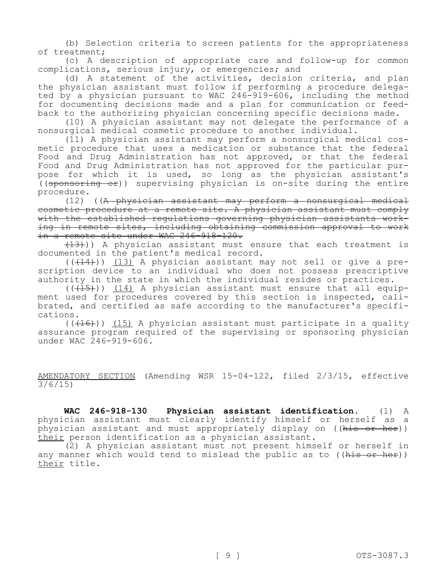(b) Selection criteria to screen patients for the appropriateness of treatment;

(c) A description of appropriate care and follow-up for common complications, serious injury, or emergencies; and

(d) A statement of the activities, decision criteria, and plan the physician assistant must follow if performing a procedure delegated by a physician pursuant to WAC 246-919-606, including the method for documenting decisions made and a plan for communication or feedback to the authorizing physician concerning specific decisions made.

(10) A physician assistant may not delegate the performance of a nonsurgical medical cosmetic procedure to another individual.

(11) A physician assistant may perform a nonsurgical medical cosmetic procedure that uses a medication or substance that the federal Food and Drug Administration has not approved, or that the federal Food and Drug Administration has not approved for the particular purpose for which it is used, so long as the physician assistant's  $((\text{sponsoring of})$  supervising physician is on-site during the entire procedure.

(12) ((A physician assistant may perform a nonsurgical medical cosmetic procedure at a remote site. A physician assistant must comply with the established regulations governing physician assistants working in remote sites, including obtaining commission approval to work in a remote site under WAC 246-918-120.

 $(13)$ )) A physician assistant must ensure that each treatment is documented in the patient's medical record.

 $((+14))$   $(13)$  A physician assistant may not sell or give a prescription device to an individual who does not possess prescriptive authority in the state in which the individual resides or practices.

 $((+15))$   $(14)$  A physician assistant must ensure that all equipment used for procedures covered by this section is inspected, calibrated, and certified as safe according to the manufacturer's specifications.

 $((+16))$  (15) A physician assistant must participate in a quality assurance program required of the supervising or sponsoring physician under WAC 246-919-606.

AMENDATORY SECTION (Amending WSR 15-04-122, filed 2/3/15, effective 3/6/15)

**WAC 246-918-130 Physician assistant identification.** (1) A physician assistant must clearly identify himself or herself as a physician assistant and must appropriately display on ((his or her)) their person identification as a physician assistant.

(2) A physician assistant must not present himself or herself in any manner which would tend to mislead the public as to ( $(his \theta r \text{ her})$ ) their title.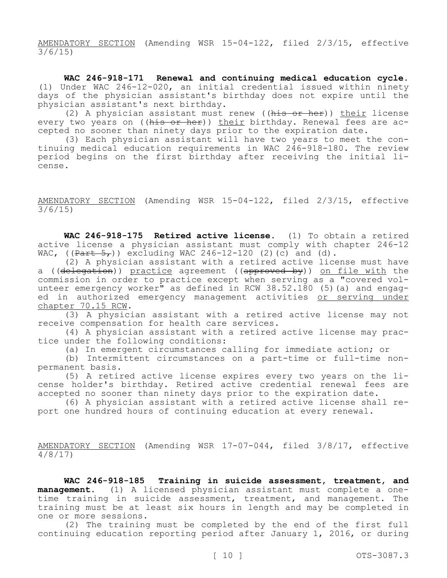AMENDATORY SECTION (Amending WSR 15-04-122, filed 2/3/15, effective 3/6/15)

**WAC 246-918-171 Renewal and continuing medical education cycle.**  (1) Under WAC 246-12-020, an initial credential issued within ninety days of the physician assistant's birthday does not expire until the physician assistant's next birthday.

(2) A physician assistant must renew ( $(his$  or her)) their license every two years on ((his or her)) their birthday. Renewal fees are accepted no sooner than ninety days prior to the expiration date.

(3) Each physician assistant will have two years to meet the continuing medical education requirements in WAC 246-918-180. The review period begins on the first birthday after receiving the initial license.

AMENDATORY SECTION (Amending WSR 15-04-122, filed 2/3/15, effective 3/6/15)

**WAC 246-918-175 Retired active license.** (1) To obtain a retired active license a physician assistant must comply with chapter 246-12 WAC,  $((Part 5<sub>r</sub>))$  excluding WAC 246-12-120 (2)(c) and (d).

(2) A physician assistant with a retired active license must have a ((delegation)) practice agreement ((approved by)) on file with the commission in order to practice except when serving as a "covered volunteer emergency worker" as defined in RCW 38.52.180 (5)(a) and engaged in authorized emergency management activities or serving under chapter 70.15 RCW.

(3) A physician assistant with a retired active license may not receive compensation for health care services.

(4) A physician assistant with a retired active license may practice under the following conditions:

(a) In emergent circumstances calling for immediate action; or

(b) Intermittent circumstances on a part-time or full-time nonpermanent basis.

(5) A retired active license expires every two years on the license holder's birthday. Retired active credential renewal fees are accepted no sooner than ninety days prior to the expiration date.

(6) A physician assistant with a retired active license shall report one hundred hours of continuing education at every renewal.

AMENDATORY SECTION (Amending WSR 17-07-044, filed 3/8/17, effective 4/8/17)

**WAC 246-918-185 Training in suicide assessment, treatment, and management.** (1) A licensed physician assistant must complete a onetime training in suicide assessment, treatment, and management. The training must be at least six hours in length and may be completed in one or more sessions.

(2) The training must be completed by the end of the first full continuing education reporting period after January 1, 2016, or during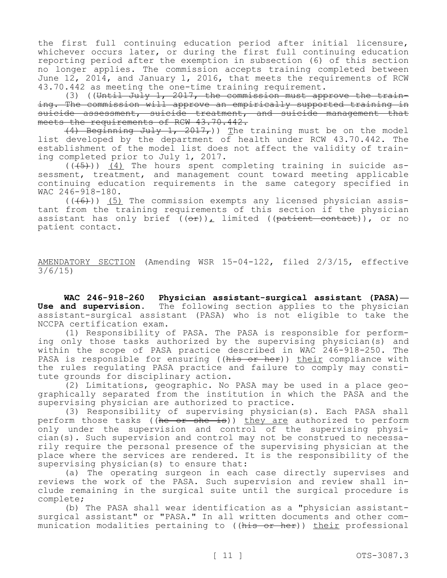the first full continuing education period after initial licensure, whichever occurs later, or during the first full continuing education reporting period after the exemption in subsection (6) of this section no longer applies. The commission accepts training completed between June 12, 2014, and January 1, 2016, that meets the requirements of RCW 43.70.442 as meeting the one-time training requirement.

(3) ((Until July 1, 2017, the commission must approve the training. The commission will approve an empirically supported training in suicide assessment, suicide treatment, and suicide management that meets the requirements of RCW 43.70.442.

 $(4)$  Beginning July 1, 2017,)) The training must be on the model list developed by the department of health under RCW 43.70.442. The establishment of the model list does not affect the validity of training completed prior to July 1, 2017.

 $((\overline{(+5+)}))$   $(4)$  The hours spent completing training in suicide assessment, treatment, and management count toward meeting applicable continuing education requirements in the same category specified in WAC 246-918-180.

 $((+6))$  (5) The commission exempts any licensed physician assistant from the training requirements of this section if the physician assistant has only brief  $((\theta \cdot \hat{r}))$ , limited  $((\theta \cdot \hat{r})^{\text{atient}})$ , or no patient contact.

AMENDATORY SECTION (Amending WSR 15-04-122, filed 2/3/15, effective 3/6/15)

**WAC 246-918-260 Physician assistant-surgical assistant (PASA)— Use and supervision.** The following section applies to the physician assistant-surgical assistant (PASA) who is not eligible to take the NCCPA certification exam.

(1) Responsibility of PASA. The PASA is responsible for performing only those tasks authorized by the supervising physician(s) and within the scope of PASA practice described in WAC 246-918-250. The PASA is responsible for ensuring ((his or her)) their compliance with the rules regulating PASA practice and failure to comply may constitute grounds for disciplinary action.

(2) Limitations, geographic. No PASA may be used in a place geographically separated from the institution in which the PASA and the supervising physician are authorized to practice.

(3) Responsibility of supervising physician(s). Each PASA shall perform those tasks ((he or she is)) they are authorized to perform only under the supervision and control of the supervising physician(s). Such supervision and control may not be construed to necessarily require the personal presence of the supervising physician at the place where the services are rendered. It is the responsibility of the supervising physician(s) to ensure that:

(a) The operating surgeon in each case directly supervises and reviews the work of the PASA. Such supervision and review shall include remaining in the surgical suite until the surgical procedure is complete;

(b) The PASA shall wear identification as a "physician assistantsurgical assistant" or "PASA." In all written documents and other communication modalities pertaining to ((his or her)) their professional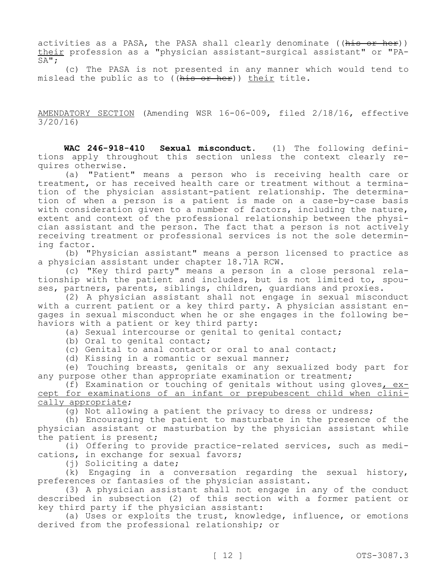activities as a PASA, the PASA shall clearly denominate ((his or her)) their profession as a "physician assistant-surgical assistant" or "PA-SA";

(c) The PASA is not presented in any manner which would tend to mislead the public as to ((his or her)) their title.

AMENDATORY SECTION (Amending WSR 16-06-009, filed 2/18/16, effective 3/20/16)

**WAC 246-918-410 Sexual misconduct.** (1) The following definitions apply throughout this section unless the context clearly requires otherwise.

(a) "Patient" means a person who is receiving health care or treatment, or has received health care or treatment without a termination of the physician assistant-patient relationship. The determination of when a person is a patient is made on a case-by-case basis with consideration given to a number of factors, including the nature, extent and context of the professional relationship between the physician assistant and the person. The fact that a person is not actively receiving treatment or professional services is not the sole determining factor.

(b) "Physician assistant" means a person licensed to practice as a physician assistant under chapter 18.71A RCW.

(c) "Key third party" means a person in a close personal relationship with the patient and includes, but is not limited to, spouses, partners, parents, siblings, children, guardians and proxies.

(2) A physician assistant shall not engage in sexual misconduct with a current patient or a key third party. A physician assistant engages in sexual misconduct when he or she engages in the following behaviors with a patient or key third party:

(a) Sexual intercourse or genital to genital contact;

(b) Oral to genital contact;

(c) Genital to anal contact or oral to anal contact;

(d) Kissing in a romantic or sexual manner;

(e) Touching breasts, genitals or any sexualized body part for any purpose other than appropriate examination or treatment;

(f) Examination or touching of genitals without using gloves, except for examinations of an infant or prepubescent child when clinically appropriate;

(g) Not allowing a patient the privacy to dress or undress;

(h) Encouraging the patient to masturbate in the presence of the physician assistant or masturbation by the physician assistant while the patient is present;

(i) Offering to provide practice-related services, such as medications, in exchange for sexual favors;

(j) Soliciting a date;

(k) Engaging in a conversation regarding the sexual history, preferences or fantasies of the physician assistant.

(3) A physician assistant shall not engage in any of the conduct described in subsection (2) of this section with a former patient or key third party if the physician assistant:

(a) Uses or exploits the trust, knowledge, influence, or emotions derived from the professional relationship; or